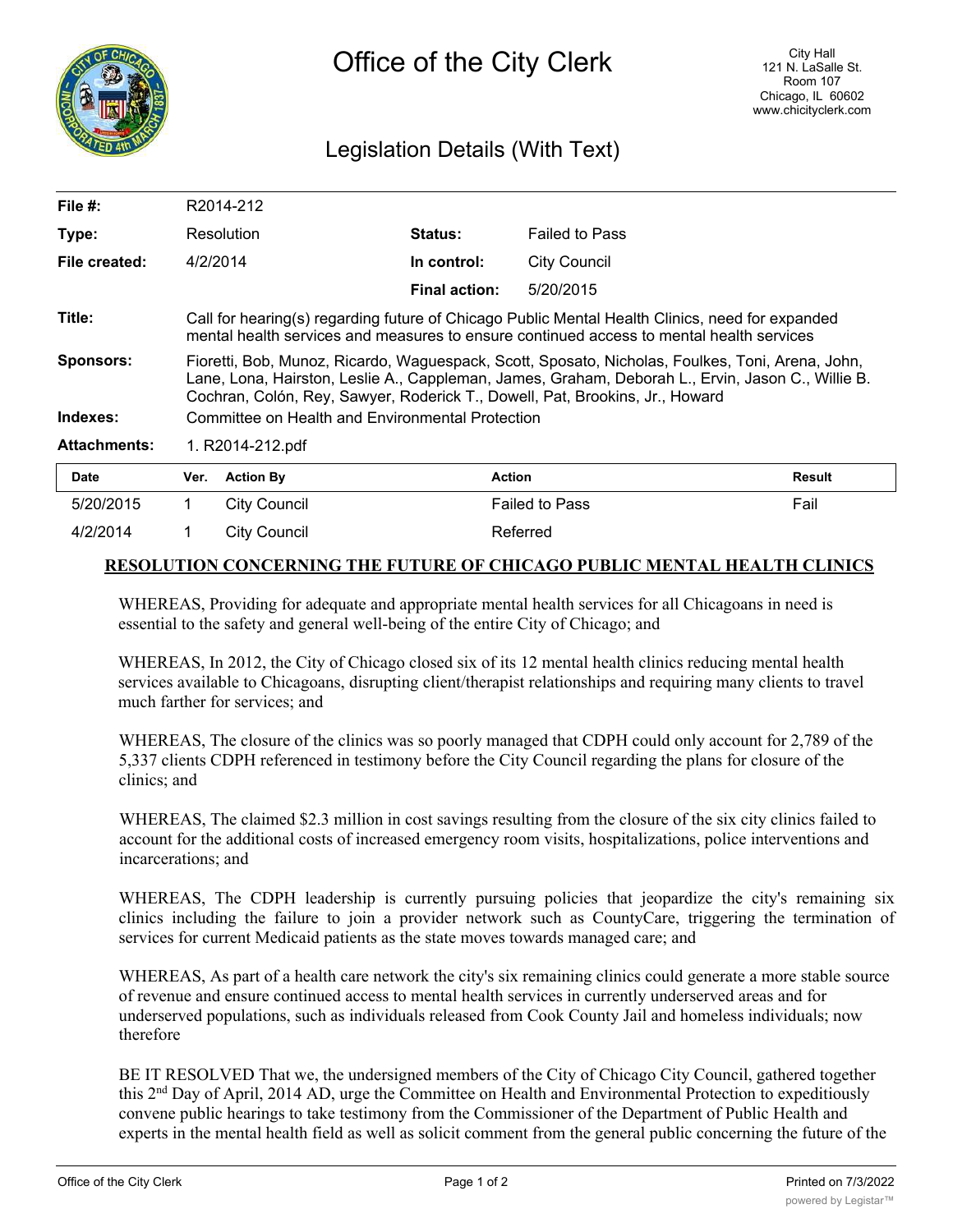

## Legislation Details (With Text)

| File #:             |                                                                                                                                                                                                                                                                                       | R2014-212           |                      |                       |               |
|---------------------|---------------------------------------------------------------------------------------------------------------------------------------------------------------------------------------------------------------------------------------------------------------------------------------|---------------------|----------------------|-----------------------|---------------|
| Type:               |                                                                                                                                                                                                                                                                                       | Resolution          | <b>Status:</b>       | <b>Failed to Pass</b> |               |
| File created:       | 4/2/2014                                                                                                                                                                                                                                                                              |                     | In control:          | <b>City Council</b>   |               |
|                     |                                                                                                                                                                                                                                                                                       |                     | <b>Final action:</b> | 5/20/2015             |               |
| Title:              | Call for hearing(s) regarding future of Chicago Public Mental Health Clinics, need for expanded<br>mental health services and measures to ensure continued access to mental health services                                                                                           |                     |                      |                       |               |
| <b>Sponsors:</b>    | Fioretti, Bob, Munoz, Ricardo, Waguespack, Scott, Sposato, Nicholas, Foulkes, Toni, Arena, John,<br>Lane, Lona, Hairston, Leslie A., Cappleman, James, Graham, Deborah L., Ervin, Jason C., Willie B.<br>Cochran, Colón, Rey, Sawyer, Roderick T., Dowell, Pat, Brookins, Jr., Howard |                     |                      |                       |               |
| Indexes:            | Committee on Health and Environmental Protection                                                                                                                                                                                                                                      |                     |                      |                       |               |
| <b>Attachments:</b> | 1. R2014-212.pdf                                                                                                                                                                                                                                                                      |                     |                      |                       |               |
| <b>Date</b>         | Ver.                                                                                                                                                                                                                                                                                  | <b>Action By</b>    | <b>Action</b>        |                       | <b>Result</b> |
| 5/20/2015           |                                                                                                                                                                                                                                                                                       | <b>City Council</b> |                      | <b>Failed to Pass</b> | Fail          |
| 4/2/2014            |                                                                                                                                                                                                                                                                                       | <b>City Council</b> |                      | Referred              |               |

## **RESOLUTION CONCERNING THE FUTURE OF CHICAGO PUBLIC MENTAL HEALTH CLINICS**

WHEREAS, Providing for adequate and appropriate mental health services for all Chicagoans in need is essential to the safety and general well-being of the entire City of Chicago; and

WHEREAS, In 2012, the City of Chicago closed six of its 12 mental health clinics reducing mental health services available to Chicagoans, disrupting client/therapist relationships and requiring many clients to travel much farther for services; and

WHEREAS, The closure of the clinics was so poorly managed that CDPH could only account for 2,789 of the 5,337 clients CDPH referenced in testimony before the City Council regarding the plans for closure of the clinics; and

WHEREAS, The claimed \$2.3 million in cost savings resulting from the closure of the six city clinics failed to account for the additional costs of increased emergency room visits, hospitalizations, police interventions and incarcerations; and

WHEREAS, The CDPH leadership is currently pursuing policies that jeopardize the city's remaining six clinics including the failure to join a provider network such as CountyCare, triggering the termination of services for current Medicaid patients as the state moves towards managed care; and

WHEREAS, As part of a health care network the city's six remaining clinics could generate a more stable source of revenue and ensure continued access to mental health services in currently underserved areas and for underserved populations, such as individuals released from Cook County Jail and homeless individuals; now therefore

BE IT RESOLVED That we, the undersigned members of the City of Chicago City Council, gathered together this 2nd Day of April, 2014 AD, urge the Committee on Health and Environmental Protection to expeditiously convene public hearings to take testimony from the Commissioner of the Department of Public Health and experts in the mental health field as well as solicit comment from the general public concerning the future of the